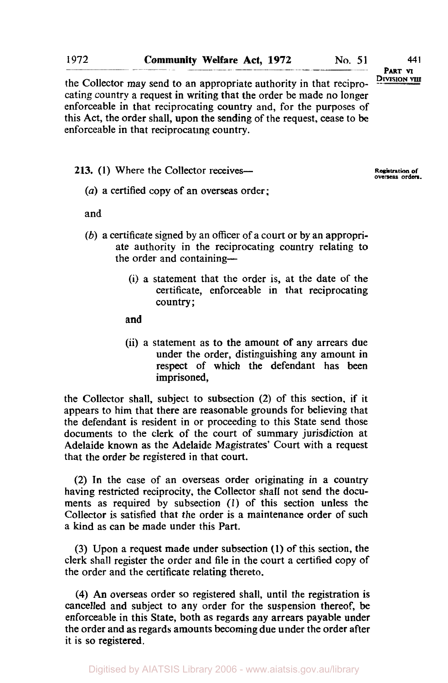the Collector may send to an appropriate authority in that reciprocating country a request in writing that the order be made no longer enforceable in that reciprocating country and, for the purposes of this Act, the order shall, upon the sending of the request, cease to be enforceable in that reciprocating country.

213. (1) Where the Collector receives-

**Registration of overseas orders.** 

*(a)* a certified copy of an overseas order;

and

- (b) a certificate signed by an officer of a court or by an appropriate authority in the reciprocating country relating to the order and containing-
	- (i) a statement that the order is, at the date of the certificate, enforceable in that reciprocating country;

and

(ii) a statement as to the amount of any arrears due under the order, distinguishing any amount in respect of which the defendant has been imprisoned,

the Collector shall, subject to subsection (2) of this section, if it appears to him that there are reasonable grounds for believing that the defendant is resident in or proceeding to this State send those documents to the clerk of the court of summary jurisdiction at Adelaide known as the Adelaide Magistrates' Court with a request that the order be registered in that court.

(2) In the case of an overseas order originating in a country having restricted reciprocity, the Collector shall not send the documents as required by subsection (1) of this section unless the Collector is satisfied that the order is a maintenance order of such a kind as can be made under this Part.

(3) Upon a request made under subsection **(1)** of this section, the clerk shall register the order and file in the court a certified copy of the order and the certificate relating thereto.

**(4) An** overseas order so registered shall, until the registration is cancelled and subject to any order for the suspension thereof, be enforceable in this State, both as regards any arrears payable under the order and as regards amounts becoming due under the order after it is so registered.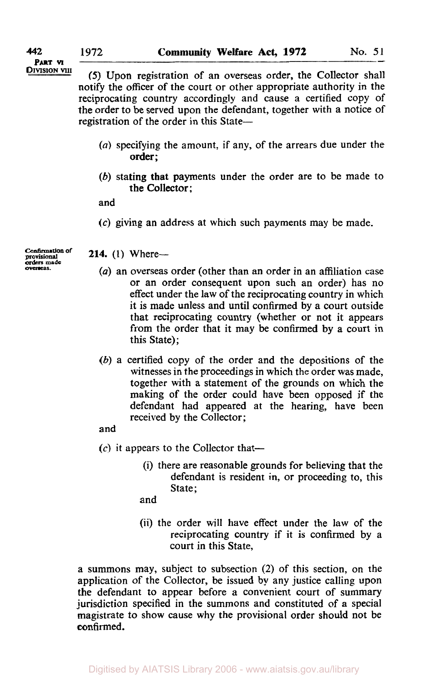**PART VI** 

**DIVISION VIII** *(5)* Upon registration of an overseas order, the Collector shall notify the officer of the court or other appropriate authority in the reciprocating country accordingly and cause a certified copy of the order to be served upon the defendant, together with a notice of registration of the order in this State-

- *(a)* specifying the amount: if any, of the arrears due under the order ;
- (b) stating that payments under the order are to be made to the Collector;

and

**(c)** giving an address at which such payments may be made.

Confirmation **of provisional**  *orders* **made overseas.** 

## **214.** (1) Where--

- *(a)* an overseas order (other than an order in an affiliation case or an order consequent upon such an order) has no effect under the law of the reciprocating country in which it is made unless and until confirmed by a court outside that reciprocating country (whether or not it appears from the order that it may be confirmed by a court in this State);
- (b) a certified copy of the order and the depositions of the witnesses in the proceedings in which the order was made, together with a statement of the grounds on which the making of the order could have been opposed if the defendant had appeared at the hearing, have been received by the Collector;

## and

- $(c)$  it appears to the Collector that-
	- (i) there are reasonable grounds for believing that the defendant is resident in, or proceeding to, this State;

and

(ii) the order will have effect under the law of the reciprocating country if it is confirmed by a court in this State,

a summons may, subject to subsection (2) of this section, on the application of the Collector, be issued by any justice calling upon **the** defendant to appear before a convenient court of summary jurisdiction specified in the summons and constituted of a special magistrate to show cause why the provisional order should not be confirmed.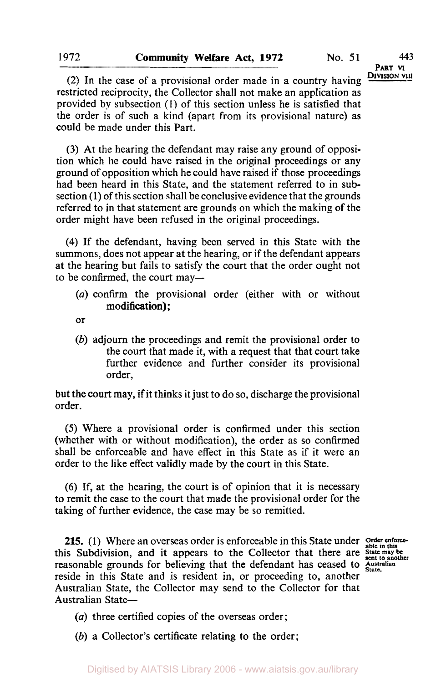**PART VI** 

(2) In the case of a provisional order made in a country having restricted reciprocity, the Collector shall not make an application as provided by subsection **(1)** of this section unless he is satisfied that the order is of such a kind (apart from its provisional nature) as could be made under this Part.

**(3)** At the hearing the defendant may raise any ground of opposition which he could have raised in the original proceedings or any ground of opposition which he could have raised if those proceedings had been heard in this State, and the statement referred to in subsection **(1)** of this section shall be conclusive evidence that the grounds referred to in that statement are grounds on which the making of the order might have been refused in the original proceedings.

**(4)** If the defendant, having been served in this State with the summons, does not appear at the hearing, or if the defendant appears at the hearing but fails to satisfy the court that the order ought not to be confirmed, the court may-

*(a)* confirm the provisional order (either with or without modification);

or

*(b)* adjourn the proceedings and remit the provisional order to the court that made it, with a request that that court take further evidence and further consider its provisional order,

but the court may, if it thinks it just to do so, discharge the provisional order.

(5) Where a provisional order is confirmed under this section (whether with or without modification), the order **as** so confirmed shall be enforceable and have effect in this State as if it were an order to the like effect validly made by the court in this State.

**(6)** If, at the hearing, the court is of opinion that it is necessary to remit the case to the court that made the provisional order for the taking of further evidence, the case may be *so* remitted.

**215.** (1) Where an overseas order is enforceable in this State under order enforcethis Subdivision, and it appears to the Collector that there are **State may be** reasonable grounds for believing that the defendant has ceased to Australian reside in this State and is resident in or **proceeding** to another state. reside in this State and is resident in, or proceeding to, another Australian State, the Collector may send to the Collector for that Australian State-

*(a)* three certified copies of the overseas order;

*(b)* a Collector's certificate relating to the order;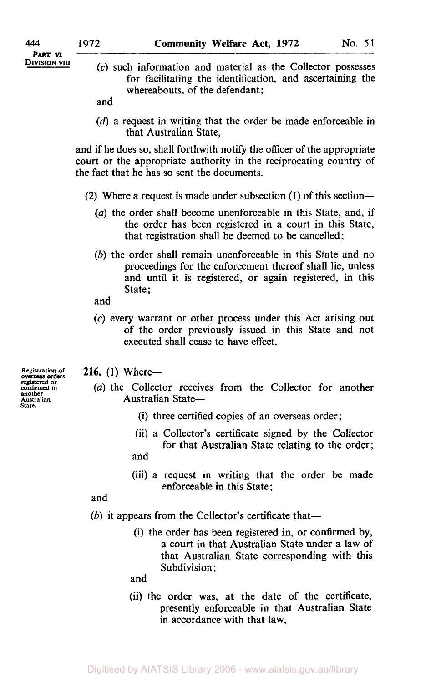*(c)* such information and material as the Collector possesses for facilitating the identification, and ascertaining the whereabouts, of the defendant;

and

*(d)* a request in writing that the order be made enforceable in that Australian State,

and if he does so, shall forthwith notify the officer of the appropriate court or the appropriate authority in the reciprocating country of the fact that he has so sent the documents.

- (2) Where a request is made under subsection (1) of this section-
	- *(a)* the order shall become unenforceable in this State, and, if the order has been registered in a court in this State, that registration shall be deemed to be cancelled;
	- *(b)* the order shall remain unenforceable in this State and no proceedings for the enforcement thereof shall lie, unless and until it is registered, or again registered, in this State;
	- and
	- *(c)* every warrant or other process under this Act arising out of the order previously issued in this State and not executed shall cease to have effect.
- **216.** (1) Where-
	- *(a)* the Collector receives from the Collector for another Australian State-
		- (i) three certified copies of an overseas order;
		- (ii) a Collector's certificate signed by the Collector for that Australian State relating to the order; and
		- (iii) a request in writing that the order be made enforceable in this State;

and

- *(b)* it appears from the Collector's certificate that-
	- **(i)** the order has been registered in, or confirmed by, a court in that Australian State under a law of that Australian State corresponding with this Subdivision:

and

(ii) the order was, at the date of the certificate, presently enforceable in that Australian State **in** accordance with that law,

**Registration** *of* **overseas** *orders*  registered **or confirmed in another Australian**  *State.*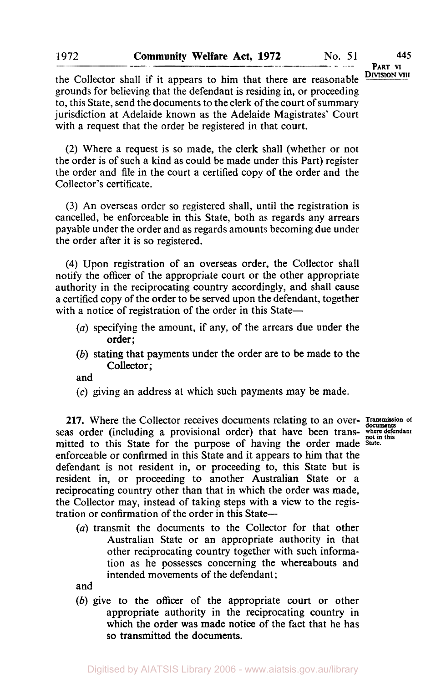**PART M DIVISION VIII** 

the Collector shall if it appears to him that there are reasonable grounds for believing that the defendant is residing in, or proceeding to, this State, send the documents to the clerk of the court of summary jurisdiction at Adelaide known as the Adelaide Magistrates' Court with a request that the order be registered in that court.

(2) Where a request is so made, the clerk shall (whether or not the order is of such a kind as could be made under this Part) register the order and file in the court a certified copy of the order and the Collector's certificate.

**(3)** An overseas order so registered shall, until the registration is cancelled, be enforceable in this State, both as regards any arrears payable under the order and as regards amounts becoming due under the order after it is so registered.

**(4)** Upon registration of an overseas order, the Collector shall notify the officer of the appropriate court or the other appropriate authority in the reciprocating country accordingly, and shall cause a certified copy of the order to be served upon the defendant, together with a notice of registration of the order in this State-

- *(a)* specifying the amount, if any, of the arrears due under the order ;
- *(b)* stating that payments under the order are to be made to the Collector;

and

**(c)** giving an address at which such payments may be made.

**217.** Where the Collector receives documents relating to an over- *Transmission* of seas order (including a provisional order) that have been trans- where defendant mitted to this State for the purpose of having the order made *State*. enforceable or confirmed in this State and it appears to him that the defendant **is** not resident in, or proceeding to, this State but is resident in, or proceeding to another Australian State or a reciprocating country other than that in which the order was made, the Collector may, instead of taking steps with a view to the registration or confirmation of the order in this State-

*(a)* transmit the documents to the Collector for that other Australian State or an appropriate authority in that other reciprocating country together with such information as he possesses concerning the whereabouts and intended movements of the defendant ;

and

*(b)* give to the officer of the appropriate court or other appropriate authority in the reciprocating country in which the order was made notice of the fact that he has so transmitted the documents.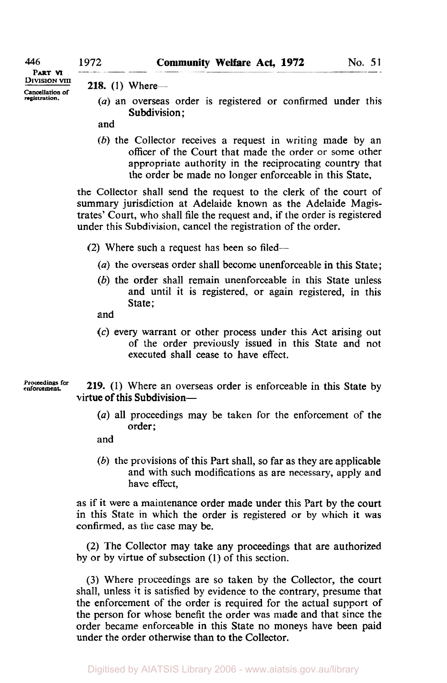**PART** 

**Cancellation of** 

**DIVISION VIII 218.** (1) Where-

- (a) an overseas order is registered or confirmed under this Subdivision:
- and
- *(b)* the Collector receives a request in writing made by an officer of the Court that made the order or some other appropriate authority in the reciprocating country that the order be made no longer enforceable in this State,

the Collector shall send the request to the clerk of the court of summary jurisdiction at Adelaide known as the Adelaide Magistrates' Court, who shall file the request and, if the order is registered under this Subdivision, cancel the registration of the order.

(2) Where such a request has been so filed--

- *(a)* the overseas order shall become unenforceable in this State;
- *(b)* the order shall remain unenforceable in this State unless and until it is registered, or again registered, in this State;
- and
- *(c)* every warrant or other process under this Act arising out of the order previously issued in this State and not executed shall cease to have effect.

**Proceedings for** 

**219.** (1) Where an overseas order is enforceable in this State by virtue of this Subdivision-

*(a)* all proceedings may be taken for the enforcement of the order;

and

*(b)* the provisions of this Part shall, so far as they are applicable and with such modifications as are necessary, apply and have effect,

as if it were a maintenance order made under this Part by the court in this State in which the order is registered or by which it was confirmed, as the case may be.

(2) The Collector may take any proceedings that are authorized by or by virtue of subsection (1) of this section.

(3) Where proceedings are so taken by the Collector, the court shall, unless it is satisfied by evidence to the contrary, presume that the enforcement of the order is required for the actual support of the person for whose benefit the order was made and that since the order became enforceable in this State no moneys have been paid under the order otherwise than to the Collector.

Digitised by AIATSIS Library 2006 - www.aiatsis.gov.au/library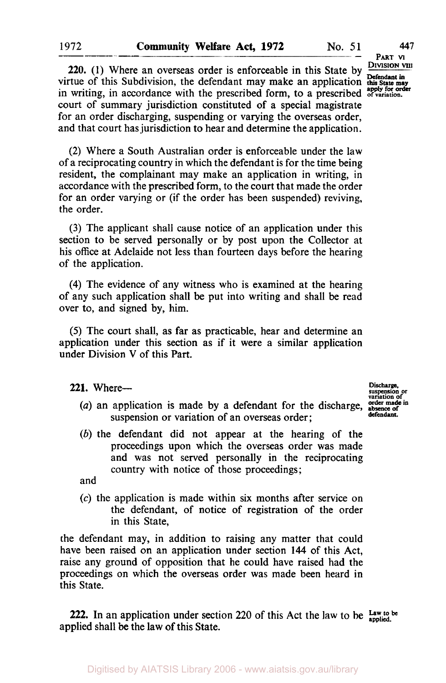**PART VI DIVISION VIII** 

**220.** (1) Where an overseas order is enforceable in this State by in writing, in accordance with the prescribed form, to a prescribed <sup>apply for order</sup> virtue of this Subdivision, the defendant may make an application this State may court of summary jurisdiction constituted of a special magistrate for an order discharging, suspending or varying the overseas order, and that court has jurisdiction to hear and determine the application.

(2) Where a South Australian order is enforceable under the law of a reciprocating country in which the defendant is for the time being resident, the complainant may make an application in writing, in accordance with the prescribed form, to the court that made the order for an order varying or (if the order has been suspended) reviving, the order.

(3) The applicant shall cause notice of an application under this section to be served personally or by post upon the Collector at his office at Adelaide not less than fourteen days before the hearing of the application.

**(4)** The evidence of any witness who is examined at the hearing of any such application shall be put into writing and shall be read over to, and signed by, him.

(5) The court shall, as far as practicable, hear and determine an application under this section as if it were a similar application under Division V of this Part.

**221.** Where- **suspension Discharge. or** 

- (a) an application is made by a defendant for the discharge, suspension or variation of an overseas order;
- *(b)* the defendant did not appear at the hearing of the proceedings upon which the overseas order was made and was not served personally in the reciprocating country with notice of those proceedings;

and

*(c)* the application is made within six months after service on the defendant, of notice of registration of the order in this State,

the defendant may, in addition to raising any matter that could have been raised on an application under section **144** of this Act, raise any ground of opposition that he could have raised had the proceedings on which the overseas order was made been heard in this State.

**222.** In an application under section 220 of this Act the **law** to be *Law to be applied*  applied shall be the law of this State.

**variation**<br>*v*riation of **defendant.** 

**1972**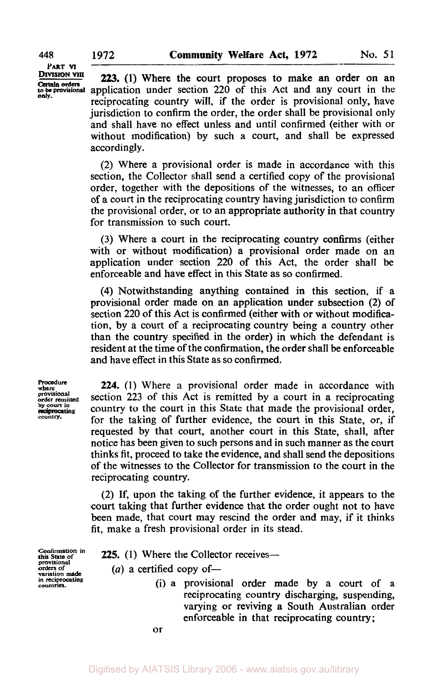**PART VI** 

*Certain* **orders** 

**223.** (1) Where the court proposes to make an order on an application under section 220 of this Act and any court in the reciprocating country will, if the order is provisional only, have jurisdiction to confirm the order, the order shall be provisional only and shall have **no** effect unless and until confirmed (either with or without modification) by such a court, and shall be expressed accordingly.

(2) Where a provisional order is made in accordance with this section, the Collector shall send a certified copy of the provisional order, together with the depositions of the witnesses, to an officer of a court in the reciprocating country having jurisdiction to confirm the provisional order, or to an appropriate authority in that country for transmission to such court.

(3) Where a court in the reciprocating country confirms (either with or without modification) a provisional order made on an application under section 220 of this Act, the order shall be enforceable and have effect in this State as so confirmed.

**(4)** Notwithstanding anything contained in this section, if a provisional order made **on** an application under subsection (2) of section 220 of this Act is confirmed (either with or without modification, by a court of a reciprocating country being a country other than the country specified in the order) in which the defendant is resident at the time of the confirmation, the order shall be enforceable and have effect in this State as so confirmed.

**Procedure where provisional by court in**<br>by court in **country.** 

**224.** (1) Where a provisional order made in accordance with section 223 of this Act is remitted by a court in a reciprocating for the taking of further evidence, the court in this State, or, if requested by that court, another court in this State, shall, after notice has been given to such persons and in such manner as the court thinks fit, proceed to take the evidence, and shall send the depositions of the witnesses to the Collector for transmission to the court in the reciprocating country. country to the court in this State that made the provisional order,

(2) If, upon the taking of the further evidence, it appears to the court taking that further evidence that the order ought not to have been made, that court may rescind the order and may, if it thinks fit, make a fresh provisional order in its stead.

**this State of provisional in reciprocating countries.** 

**225.** (1) Where the Collector receives—

 $(a)$  a certified copy of-

(i) a provisional order made by a court of a reciprocating country discharging, suspending, varying or reviving **a** South Australian order enforceable in that reciprocating country;

**or**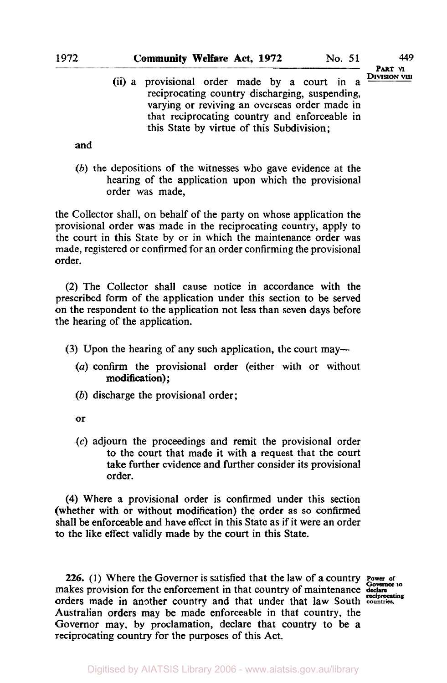**PART VI**<br>Division vili

(ii) a provisional order made by a court in a reciprocating country discharging, suspending, varying or reviving an overseas order made in that reciprocating country and enforceable in this State by virtue of this Subdivision;

and

(b) the depositions of the witnesses who gave evidence at the hearing of the application upon which the provisional order was made,

the Collector shall, on behalf of the party on whose application the provisional order was made in the reciprocating country, apply to the court in this State by or in which the maintenance order was made, registered or confirmed for an order confirming the provisional order.

(2) The Collector shall cause notice in accordance with the prescribed form of the application under this section to be served on the respondent to the application not less than seven days before the hearing of the application.

- (3) Upon the hearing of any such application, the court may—
	- *(a)* confirm the provisional order (either with or without modification):
	- (b) discharge the provisional order;

or

*(c)* adjourn the proceedings and remit the provisional order to the court that made it with a request that the court take further evidence and further consider its provisional order.

**(4)** Where a provisional order is confirmed under this section (whether with or without modification) the order as so confirmed shall be enforceable and have effect in this State as if it were an order to the like effect validly made by the court in this State.

**226.** (I) Where the Governor is satisfied that the law of a country **Power or**  makes provision for the enforcement in that country of maintenance declare **COVERGIAL** orders made in another country and that under that law South **countries. reciprocating**  Australian orders may be made enforceable in that country, the Governor may, by proclamation, declare that country to be **a**  reciprocating country for the purposes of this Act.